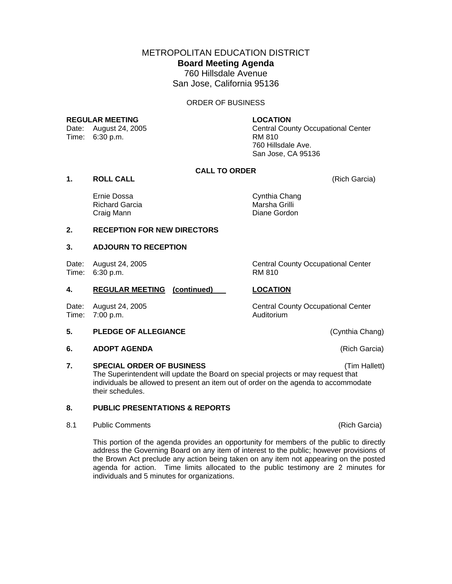METROPOLITAN EDUCATION DISTRICT **Board Meeting Agenda**  760 Hillsdale Avenue San Jose, California 95136

#### ORDER OF BUSINESS

## **REGULAR MEETING LOCATION**

Time: 6:30 p.m. RM 810

Date: August 24, 2005 Central County Occupational Center 760 Hillsdale Ave. San Jose, CA 95136

# **CALL TO ORDER**

**1. ROLL CALL** (Rich Garcia)

Ernie Dossa Cynthia Chang Richard Garcia Marsha Grilli Craig Mann

#### **2. RECEPTION FOR NEW DIRECTORS**

## **3. ADJOURN TO RECEPTION**

Date: August 24, 2005 Central County Occupational Center Time: 6:30 p.m. RM 810

## **4. REGULAR MEETING (continued) LOCATION**

Time: 7:00 p.m. Auditorium

#### **5. PLEDGE OF ALLEGIANCE CONSERVING (Cynthia Chang)**

**6. ADOPT AGENDA** (Rich Garcia)

## **7. SPECIAL ORDER OF BUSINESS** (Tim Hallett)

The Superintendent will update the Board on special projects or may request that individuals be allowed to present an item out of order on the agenda to accommodate their schedules.

# **8. PUBLIC PRESENTATIONS & REPORTS**

8.1 Public Comments **(Rich Garcia) Rich Garcia (Rich Garcia) (Rich Garcia)** 

This portion of the agenda provides an opportunity for members of the public to directly address the Governing Board on any item of interest to the public; however provisions of the Brown Act preclude any action being taken on any item not appearing on the posted agenda for action. Time limits allocated to the public testimony are 2 minutes for individuals and 5 minutes for organizations.

Date: August 24, 2005 Central County Occupational Center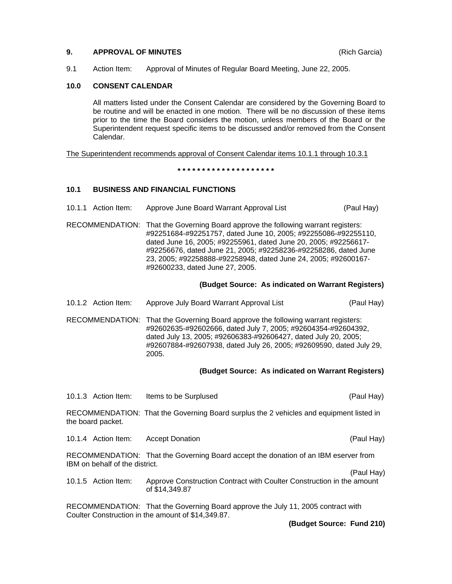## **9. APPROVAL OF MINUTES** (Rich Garcia)

9.1 Action Item: Approval of Minutes of Regular Board Meeting, June 22, 2005.

### **10.0 CONSENT CALENDAR**

All matters listed under the Consent Calendar are considered by the Governing Board to be routine and will be enacted in one motion. There will be no discussion of these items prior to the time the Board considers the motion, unless members of the Board or the Superintendent request specific items to be discussed and/or removed from the Consent Calendar.

The Superintendent recommends approval of Consent Calendar items 10.1.1 through 10.3.1

**\* \* \* \* \* \* \* \* \* \* \* \* \* \* \* \* \* \* \* \*** 

## **10.1 BUSINESS AND FINANCIAL FUNCTIONS**

- 10.1.1 Action Item: Approve June Board Warrant Approval List (Paul Hay)
- RECOMMENDATION: That the Governing Board approve the following warrant registers: #92251684-#92251757, dated June 10, 2005; #92255086-#92255110, dated June 16, 2005; #92255961, dated June 20, 2005; #92256617- #92256676, dated June 21, 2005; #92258236-#92258286, dated June 23, 2005; #92258888-#92258948, dated June 24, 2005; #92600167- #92600233, dated June 27, 2005.

#### **(Budget Source: As indicated on Warrant Registers)**

10.1.2 Action Item: Approve July Board Warrant Approval List (Paul Hay)

RECOMMENDATION: That the Governing Board approve the following warrant registers: #92602635-#92602666, dated July 7, 2005; #92604354-#92604392, dated July 13, 2005; #92606383-#92606427, dated July 20, 2005; #92607884-#92607938, dated July 26, 2005; #92609590, dated July 29, 2005.

#### **(Budget Source: As indicated on Warrant Registers)**

10.1.3 Action Item: Items to be Surplused (Paul Hay)

RECOMMENDATION: That the Governing Board surplus the 2 vehicles and equipment listed in the board packet.

10.1.4 Action Item: Accept Donation (Paul Hay)

RECOMMENDATION: That the Governing Board accept the donation of an IBM eserver from IBM on behalf of the district.

(Paul Hay)

10.1.5 Action Item: Approve Construction Contract with Coulter Construction in the amount of \$14,349.87

RECOMMENDATION: That the Governing Board approve the July 11, 2005 contract with Coulter Construction in the amount of \$14,349.87.

**(Budget Source: Fund 210)**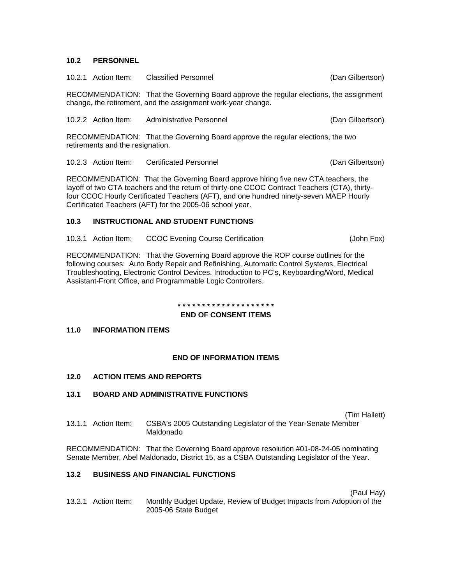## **10.2 PERSONNEL**

|  | 10.2.1 Action Item: Classified Personnel | (Dan Gilbertson) |
|--|------------------------------------------|------------------|
|  |                                          |                  |

RECOMMENDATION: That the Governing Board approve the regular elections, the assignment change, the retirement, and the assignment work-year change.

10.2.2 Action Item: Administrative Personnel (Dan Gilbertson)

RECOMMENDATION: That the Governing Board approve the regular elections, the two retirements and the resignation.

10.2.3 Action Item: Certificated Personnel (Dan Gilbertson)

RECOMMENDATION: That the Governing Board approve hiring five new CTA teachers, the layoff of two CTA teachers and the return of thirty-one CCOC Contract Teachers (CTA), thirtyfour CCOC Hourly Certificated Teachers (AFT), and one hundred ninety-seven MAEP Hourly Certificated Teachers (AFT) for the 2005-06 school year.

## **10.3 INSTRUCTIONAL AND STUDENT FUNCTIONS**

10.3.1 Action Item: CCOC Evening Course Certification (John Fox)

RECOMMENDATION: That the Governing Board approve the ROP course outlines for the following courses: Auto Body Repair and Refinishing, Automatic Control Systems, Electrical Troubleshooting, Electronic Control Devices, Introduction to PC's, Keyboarding/Word, Medical Assistant-Front Office, and Programmable Logic Controllers.

#### **\* \* \* \* \* \* \* \* \* \* \* \* \* \* \* \* \* \* \* \***

## **END OF CONSENT ITEMS**

# **11.0 INFORMATION ITEMS**

## **END OF INFORMATION ITEMS**

**12.0 ACTION ITEMS AND REPORTS** 

# **13.1 BOARD AND ADMINISTRATIVE FUNCTIONS**

(Tim Hallett)

13.1.1 Action Item: CSBA's 2005 Outstanding Legislator of the Year-Senate Member Maldonado

RECOMMENDATION: That the Governing Board approve resolution #01-08-24-05 nominating Senate Member, Abel Maldonado, District 15, as a CSBA Outstanding Legislator of the Year.

# **13.2 BUSINESS AND FINANCIAL FUNCTIONS**

(Paul Hay)

13.2.1 Action Item: Monthly Budget Update, Review of Budget Impacts from Adoption of the 2005-06 State Budget